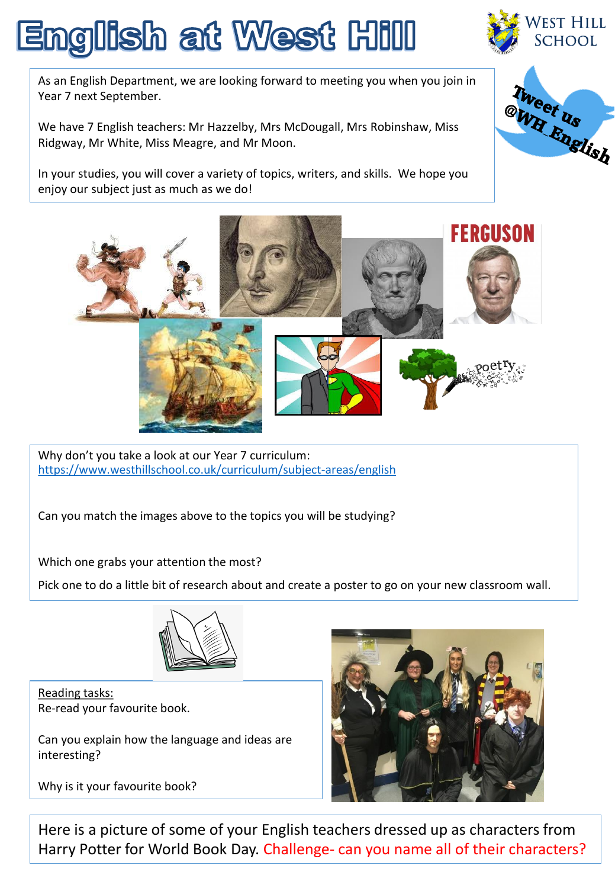## English at West Hill



As an English Department, we are looking forward to meeting you when you join in Year 7 next September.

We have 7 English teachers: Mr Hazzelby, Mrs McDougall, Mrs Robinshaw, Miss Ridgway, Mr White, Miss Meagre, and Mr Moon.

In your studies, you will cover a variety of topics, writers, and skills. We hope you enjoy our subject just as much as we do!





Why don't you take a look at our Year 7 curriculum: <https://www.westhillschool.co.uk/curriculum/subject-areas/english>

Can you match the images above to the topics you will be studying?

Which one grabs your attention the most?

Pick one to do a little bit of research about and create a poster to go on your new classroom wall.



Reading tasks: Re-read your favourite book.

Can you explain how the language and ideas are interesting?

Why is it your favourite book?



Here is a picture of some of your English teachers dressed up as characters from Harry Potter for World Book Day. Challenge- can you name all of their characters?